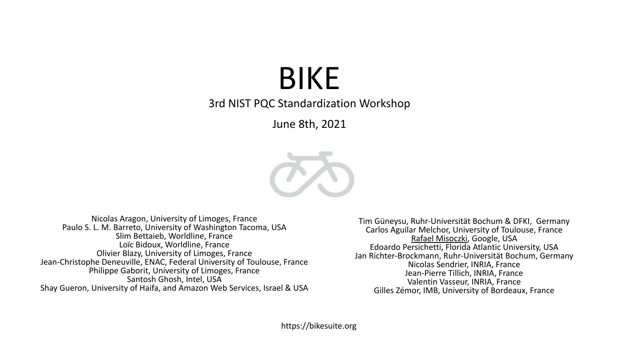# BIKE

3rd NIST PQC Standardization Workshop

June 8th, 2021



Nicolas Aragon, University of Limoges, France Paulo S. L. M. Barreto, University of Washington Tacoma, USA Slim Bettaieb, Worldline, France Loïc Bidoux, Worldline, France Olivier Blazy, University of Limoges, France Jean-Christophe Deneuville, ENAC, Federal University of Toulouse, France Philippe Gaborit, University of Limoges, France Santosh Ghosh, Intel, USA Shay Gueron, University of Haifa, and Amazon Web Services, Israel & USA

Tim Güneysu, Ruhr-Universität Bochum & DFKI, Germany Carlos Aguilar Melchor, University of Toulouse, France Rafael Misoczki, Google, USA Edoardo Persichetti, Florida Atlantic University, USA Jan Richter-Brockmann, Ruhr-Universität Bochum, Germany Nicolas Sendrier, INRIA, France Jean-Pierre Tillich, INRIA, France Valentin Vasseur, INRIA, France Gilles Zémor, IMB, University of Bordeaux, France

https://bikesuite.org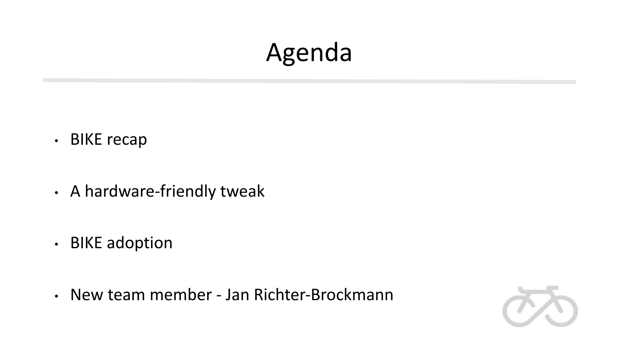# Agenda

- BIKE recap
- A hardware-friendly tweak
- BIKE adoption
- New team member Jan Richter-Brockmann

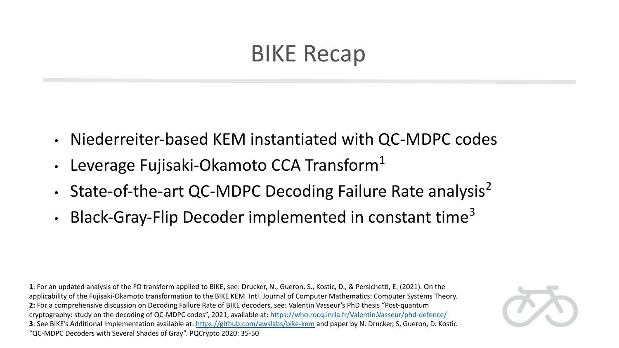## BIKE Recap

- Niederreiter-based KEM instantiated with QC-MDPC codes
- Leverage Fujisaki-Okamoto CCA Transform<sup>1</sup>
- State-of-the-art QC-MDPC Decoding Failure Rate analysis<sup>2</sup>
- Black-Gray-Flip Decoder implemented in constant time<sup>3</sup>

**1**: For an updated analysis of the FO transform applied to BIKE, see: Drucker, N., Gueron, S., Kostic, D., & Persichetti, E. (2021). On the applicability of the Fujisaki-Okamoto transformation to the BIKE KEM. Intl. Journal of Computer Mathematics: Computer Systems Theory. **2:** For a comprehensive discussion on Decoding Failure Rate of BIKE decoders, see: Valentin Vasseur's PhD thesis "Post-quantum cryptography: study on the decoding of QC-MDPC codes", 2021, available at:<https://who.rocq.inria.fr/Valentin.Vasseur/phd-defence/> **3**: See BIKE's Additional Implementation available at: <https://github.com/awslabs/bike-kem> and paper by N. Drucker, S, Gueron, D. Kostic "QC-MDPC Decoders with Several Shades of Gray". PQCrypto 2020: 35-50

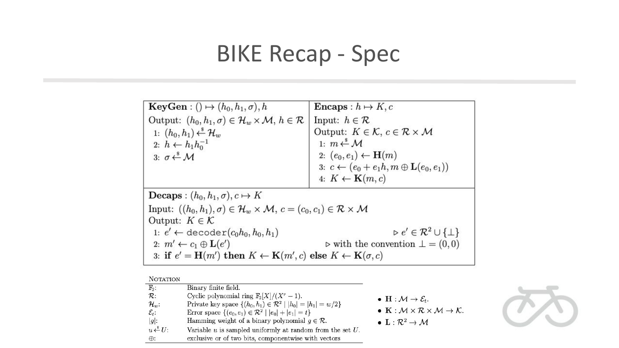# BIKE Recap - Spec

| $KeyGen: () \mapsto (h_0, h_1, \sigma), h$                                                                            | <b>Encaps</b> : $h \mapsto K$ , c                                    |  |
|-----------------------------------------------------------------------------------------------------------------------|----------------------------------------------------------------------|--|
| Output: $(h_0, h_1, \sigma) \in \mathcal{H}_w \times \mathcal{M}, h \in \mathcal{R}$                                  | Input: $h \in \mathcal{R}$                                           |  |
| 1: $(h_0, h_1) \xleftarrow{\$} \mathcal{H}_w$                                                                         | Output: $K \in \mathcal{K}$ , $c \in \mathcal{R} \times \mathcal{M}$ |  |
| 2: $h \leftarrow h_1 h_0^{-1}$                                                                                        | 1: $m \stackrel{s}{\leftarrow} M$                                    |  |
| 3: $\sigma \stackrel{\$}{\leftarrow} \mathcal{M}$                                                                     | 2: $(e_0, e_1) \leftarrow \mathbf{H}(m)$                             |  |
|                                                                                                                       | 3: $c \leftarrow (e_0 + e_1 h, m \oplus \mathbf{L}(e_0, e_1))$       |  |
|                                                                                                                       | 4: $K \leftarrow \mathbf{K}(m, c)$                                   |  |
| <b>Decaps</b> : $(h_0, h_1, \sigma)$ , $c \mapsto K$                                                                  |                                                                      |  |
| Input: $((h_0, h_1), \sigma) \in \mathcal{H}_w \times \mathcal{M}, c = (c_0, c_1) \in \mathcal{R} \times \mathcal{M}$ |                                                                      |  |
| Output: $K \in \mathcal{K}$                                                                                           |                                                                      |  |
| 1: $e' \leftarrow$ decoder $(c_0h_0, h_0, h_1)$                                                                       | $\triangleright e' \in \mathcal{R}^2 \cup \{\perp\}$                 |  |
| 2: $m' \leftarrow c_1 \oplus \mathbf{L}(e')$                                                                          | $\triangleright$ with the convention $\bot = (0,0)$                  |  |
| 3: if $e' = H(m')$ then $K \leftarrow K(m', c)$ else $K \leftarrow K(\sigma, c)$                                      |                                                                      |  |

#### **NOTATION**

| $\mathbb{F}_2$ :                  | Binary finite field.                                                          |                                                                                            |
|-----------------------------------|-------------------------------------------------------------------------------|--------------------------------------------------------------------------------------------|
| $\mathcal{R}$ :                   | Cyclic polynomial ring $\mathbb{F}_2[X]/(X^r-1)$ .                            | • $H : \mathcal{M} \to \mathcal{E}_t$ .                                                    |
| $\mathcal{H}_w$ :                 | Private key space $\{(h_0, h_1) \in \mathcal{R}^2 \mid  h_0  =  h_1  = w/2\}$ |                                                                                            |
| $\mathcal{E}_t$ :                 | Error space $\{(e_0, e_1) \in \mathcal{R}^2 \mid  e_0  +  e_1  = t\}$         | • $\mathbf{K}: \mathcal{M} \times \mathcal{R} \times \mathcal{M} \rightarrow \mathcal{K}.$ |
| $ g $ :                           | Hamming weight of a binary polynomial $g \in \mathcal{R}$ .                   | • $\mathbf{L}: \mathcal{R}^2 \to \mathcal{M}$                                              |
| $u \stackrel{\$}{\leftarrow} U$ : | Variable $u$ is sampled uniformly at random from the set $U$ .                |                                                                                            |
| $\bigoplus$ :                     | exclusive or of two bits, componentwise with vectors                          |                                                                                            |

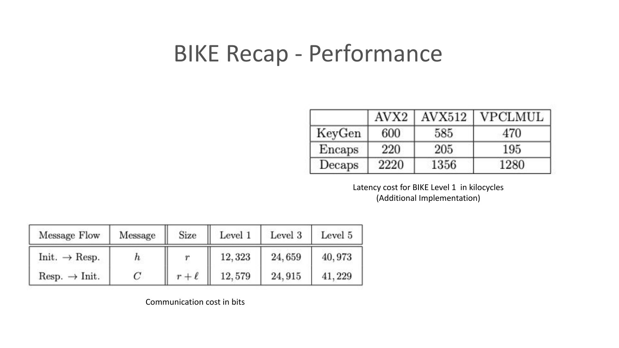### BIKE Recap - Performance

|        | AVX <sub>2</sub> | AVX512 | <b>VPCLMUL</b> |
|--------|------------------|--------|----------------|
| KeyGen | 600              | 585    | 470            |
| Encaps | 220              | 205    | 195            |
| Decaps | 2220             | 1356   | 1280           |

Latency cost for BIKE Level 1 in kilocycles (Additional Implementation)

| Message Flow              | Message          | Size     | Level 1 | Level 3 | Level 5 |
|---------------------------|------------------|----------|---------|---------|---------|
| $Init. \rightarrow Resp.$ | $\boldsymbol{n}$ |          | 12,323  | 24,659  | 40,973  |
| $Resp. \rightarrow Init.$ |                  | $r+\ell$ | 12,579  | 24.915  | 41.229  |

Communication cost in bits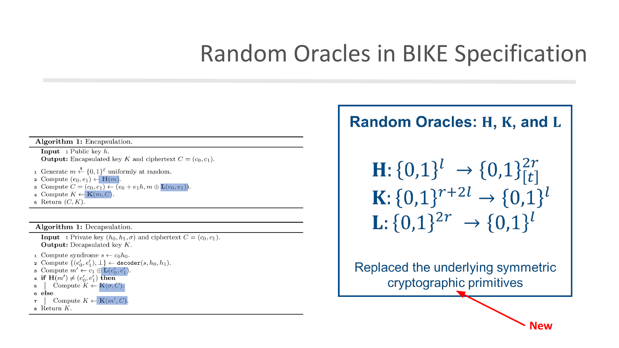### **Random Oracles in BIKE Specification**

#### Algorithm 1: Encapsulation.

**Input** : Public key  $h$ . **Output:** Encapsulated key K and ciphertext  $C = (c_0, c_1)$ .

- 1 Generate  $m \stackrel{\$}{\leftarrow} \{0,1\}^{\ell}$  uniformly at random.
- 2 Compute  $(e_0, e_1) \leftarrow \mathbf{H}(m)$ .
- **s** Compute  $C = (c_0, c_1) \leftarrow (e_0 + e_1 h, m \oplus \mathbf{L}(e_0, e_1)).$
- 4 Compute  $K \leftarrow \mathbf{K}(m, C)$
- 5 Return  $(C, K)$ .

Algorithm 1: Decapsulation.

**Input**: Private key  $(h_0, h_1, \sigma)$  and ciphertext  $C = (c_0, c_1)$ . **Output:** Decapsulated key  $K$ .

- 1 Compute syndrome  $s \leftarrow c_0 h_0$ .
- 2 Compute  $\{(e'_0, e'_1), \perp\} \leftarrow \text{decoder}(s, h_0, h_1).$
- **3** Compute  $m' \leftarrow c_1 \oplus \mathbf{L}(e'_0, e'_1)$
- 4 if  $\mathbf{H}(m') \neq (e'_0, e'_1)$  then
- Compute  $K \leftarrow K(\sigma, C)$ . 5
- 6 else
- Compute  $K \leftarrow \mathbf{K}(m', C)$  $\overline{7}$
- $\overline{\mathbf{s}}$  Return  $K$ .

#### **Random Oracles: H, K, and L**

$$
\begin{aligned} \mathbf{H}: \{0,1\}^{l} &\rightarrow \{0,1\}_{[t]}^{2r} \\ \mathbf{K}: \{0,1\}^{r+2l} &\rightarrow \{0,1\}^{l} \\ \mathbf{L}: \{0,1\}^{2r} &\rightarrow \{0,1\}^{l} \end{aligned}
$$

Replaced the underlying symmetric cryptographic primitives

**New**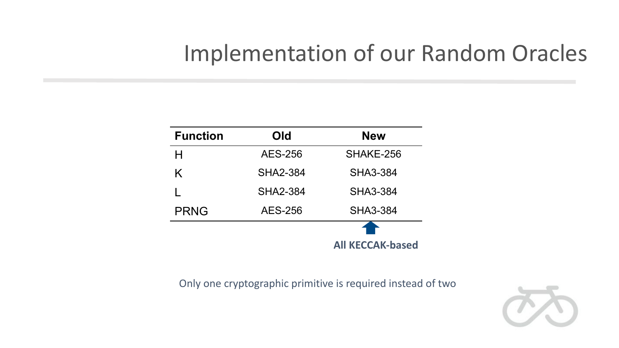### Implementation of our Random Oracles

| <b>Function</b> | Old             | <b>New</b>              |
|-----------------|-----------------|-------------------------|
| н               | <b>AES-256</b>  | SHAKE-256               |
| K               | <b>SHA2-384</b> | <b>SHA3-384</b>         |
|                 | <b>SHA2-384</b> | <b>SHA3-384</b>         |
| <b>PRNG</b>     | <b>AES-256</b>  | <b>SHA3-384</b>         |
|                 |                 |                         |
|                 |                 | <b>All KECCAK-based</b> |

Only one cryptographic primitive is required instead of two

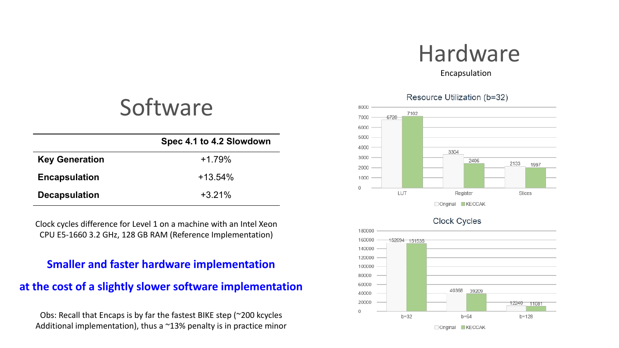# Hardware

Encapsulation

#### Resource Utilization (b=32)







### Software

|                       | Spec 4.1 to 4.2 Slowdown |
|-----------------------|--------------------------|
| <b>Key Generation</b> | $+1.79%$                 |
| <b>Encapsulation</b>  | $+13.54%$                |
| <b>Decapsulation</b>  | $+3.21%$                 |

Clock cycles difference for Level 1 on a machine with an Intel Xeon CPU E5-1660 3.2 GHz, 128 GB RAM (Reference Implementation)

#### **Smaller and faster hardware implementation**

#### **at the cost of a slightly slower software implementation**

Obs: Recall that Encaps is by far the fastest BIKE step (~200 kcycles Additional implementation), thus a  $\sim$ 13% penalty is in practice minor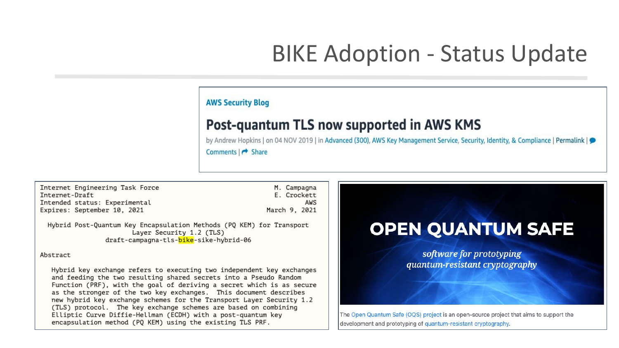## **BIKE Adoption - Status Update**

#### **AWS Security Blog**

#### Post-quantum TLS now supported in AWS KMS

by Andrew Hopkins | on 04 NOV 2019 | in Advanced (300), AWS Key Management Service, Security, Identity, & Compliance | Permalink | Comments | → Share

Internet Engineering Task Force Internet-Draft Intended status: Experimental Expires: September 10, 2021

M. Campagna E. Crockett AWS March 9, 2021

Hybrid Post-Quantum Key Encapsulation Methods (PQ KEM) for Transport Laver Security 1.2 (TLS) draft-campagna-tls-bike-sike-hybrid-06

#### **Abstract**

Hybrid key exchange refers to executing two independent key exchanges and feeding the two resulting shared secrets into a Pseudo Random Function (PRF), with the goal of deriving a secret which is as secure as the stronger of the two key exchanges. This document describes new hybrid key exchange schemes for the Transport Layer Security 1.2 (TLS) protocol. The key exchange schemes are based on combining Elliptic Curve Diffie-Hellman (ECDH) with a post-quantum key encapsulation method (PO KEM) using the existing TLS PRF.

#### **OPEN QUANTUM SAFE**

software for prototyping quantum-resistant cryptography

The Open Quantum Safe (OQS) project is an open-source project that aims to support the development and prototyping of quantum-resistant cryptography.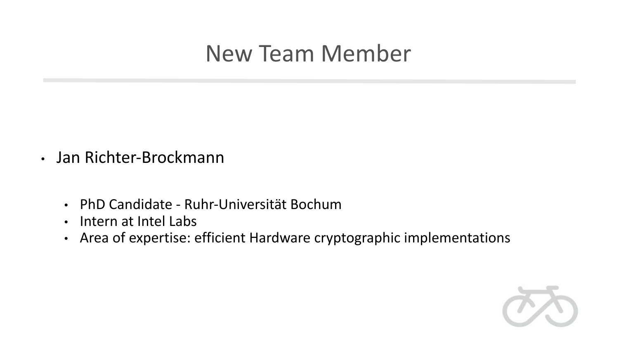### New Team Member

- Jan Richter-Brockmann
	- PhD Candidate Ruhr-Universität Bochum
	- Intern at Intel Labs
	- Area of expertise: efficient Hardware cryptographic implementations